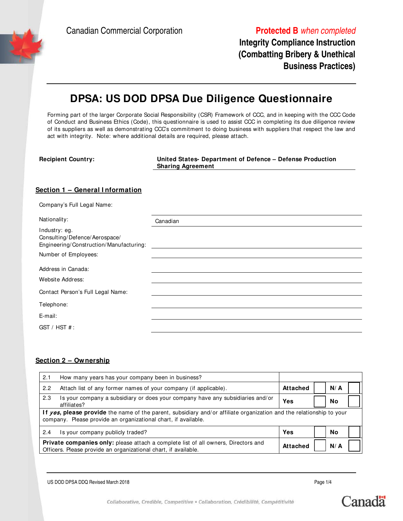Canadian Commercial Corporation **Protected B** when completed

**Integrity Compliance Instruction (Combatting Bribery & Unethical Business Practices)**

# **DPSA: US DOD DPSA Due Diligence Questionnaire**

Forming part of the larger Corporate Social Responsibility (CSR) Framework of CCC, and in keeping with the CCC Code of Conduct and Business Ethics (Code), this questionnaire is used to assist CCC in completing its due diligence review of its suppliers as well as demonstrating CCC's commitment to doing business with suppliers that respect the law and act with integrity. Note: where additional details are required, please attach.

| <b>Recipient Country:</b>                                                                 | United States- Department of Defence - Defense Production<br><b>Sharing Agreement</b> |
|-------------------------------------------------------------------------------------------|---------------------------------------------------------------------------------------|
| Section 1 - General Information                                                           |                                                                                       |
| Company's Full Legal Name:                                                                |                                                                                       |
| Nationality:                                                                              | Canadian                                                                              |
| Industry: eg.<br>Consulting/Defence/Aerospace/<br>Engineering/Construction/Manufacturing: |                                                                                       |
| Number of Employees:                                                                      |                                                                                       |
| Address in Canada:<br>Website Address:                                                    |                                                                                       |
| Contact Person's Full Legal Name:                                                         |                                                                                       |
| Telephone:                                                                                |                                                                                       |
| E-mail:                                                                                   |                                                                                       |

GST / HST # :

### **Section 2 – Ownership**

| 2.1 | How many years has your company been in business?                                                                                                                                              |          |  |        |  |
|-----|------------------------------------------------------------------------------------------------------------------------------------------------------------------------------------------------|----------|--|--------|--|
| 2.2 | Attach list of any former names of your company (if applicable).                                                                                                                               | Attached |  | N/A    |  |
| 2.3 | Is your company a subsidiary or does your company have any subsidiaries and/or<br>affiliates?                                                                                                  | Yes      |  | No     |  |
|     | If <i>yes</i> , please provide the name of the parent, subsidiary and/or affiliate organization and the relationship to your<br>company. Please provide an organizational chart, if available. |          |  |        |  |
| 2.4 | Is your company publicly traded?                                                                                                                                                               | Yes      |  | No     |  |
|     | Private companies only: please attach a complete list of all owners, Directors and<br>Officers. Please provide an organizational chart, if available.                                          |          |  | $N/$ A |  |

US DOD DPSA DDQ Revised March 2018 Page 1/4



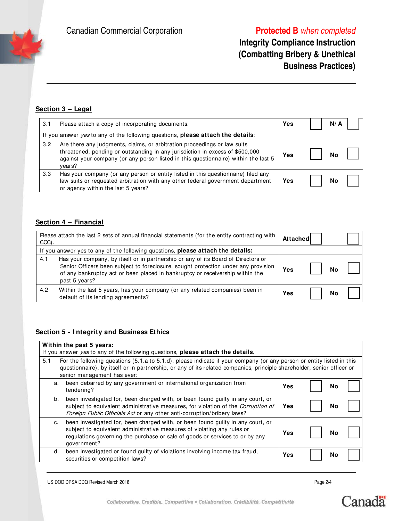# **Integrity Compliance Instruction (Combatting Bribery & Unethical Business Practices)**

## **Section 3 – Legal**

| 3.1           | Please attach a copy of incorporating documents.                                                                                                                                                                                                           | Yes | N/A |  |
|---------------|------------------------------------------------------------------------------------------------------------------------------------------------------------------------------------------------------------------------------------------------------------|-----|-----|--|
|               | If you answer <i>yes</i> to any of the following questions, <b>please attach the details</b> :                                                                                                                                                             |     |     |  |
| $3.2^{\circ}$ | Are there any judgments, claims, or arbitration proceedings or law suits<br>threatened, pending or outstanding in any jurisdiction in excess of \$500,000<br>against your company (or any person listed in this questionnaire) within the last 5<br>vears? | Yes | N٥  |  |
| 3.3           | Has your company (or any person or entity listed in this questionnaire) filed any<br>law suits or requested arbitration with any other federal government department<br>or agency within the last 5 years?                                                 | Yes | Nο  |  |

## **Section 4 – Financial**

| Please attach the last 2 sets of annual financial statements (for the entity contracting with<br>CCC). |                                                                                                                                                                                                                                                                           | Attached |    |  |
|--------------------------------------------------------------------------------------------------------|---------------------------------------------------------------------------------------------------------------------------------------------------------------------------------------------------------------------------------------------------------------------------|----------|----|--|
|                                                                                                        | If you answer yes to any of the following questions, please attach the details:                                                                                                                                                                                           |          |    |  |
| 4.1                                                                                                    | Has your company, by itself or in partnership or any of its Board of Directors or<br>Senior Officers been subject to foreclosure, sought protection under any provision<br>of any bankruptcy act or been placed in bankruptcy or receivership within the<br>past 5 years? | Yes      | No |  |
| 4.2                                                                                                    | Within the last 5 years, has your company (or any related companies) been in<br>default of its lending agreements?                                                                                                                                                        | Yes      | No |  |

### **Section 5 - I ntegrity and Business Ethics**

| Within the past 5 years:                                                                                                                                                                                                                                                              |     |    |  |  |  |
|---------------------------------------------------------------------------------------------------------------------------------------------------------------------------------------------------------------------------------------------------------------------------------------|-----|----|--|--|--|
| If you answer yes to any of the following questions, please attach the details.                                                                                                                                                                                                       |     |    |  |  |  |
| 5.1<br>For the following questions (5.1.a to 5.1.d), please indicate if your company (or any person or entity listed in this<br>questionnaire), by itself or in partnership, or any of its related companies, principle shareholder, senior officer or<br>senior management has ever: |     |    |  |  |  |
| been debarred by any government or international organization from<br>a.<br>tendering?                                                                                                                                                                                                | Yes | No |  |  |  |
| been investigated for, been charged with, or been found guilty in any court, or<br>b.<br>subject to equivalent administrative measures, for violation of the Corruption of<br>Foreign Public Officials Act or any other anti-corruption/bribery laws?                                 | Yes | No |  |  |  |
| been investigated for, been charged with, or been found guilty in any court, or<br>C.<br>subject to equivalent administrative measures of violating any rules or<br>regulations governing the purchase or sale of goods or services to or by any<br>qovernment?                       | Yes | No |  |  |  |
| been investigated or found guilty of violations involving income tax fraud,<br>d.<br>securities or competition laws?                                                                                                                                                                  | Yes | No |  |  |  |

US DOD DPSA DDQ Revised March 2018 Page 2/4

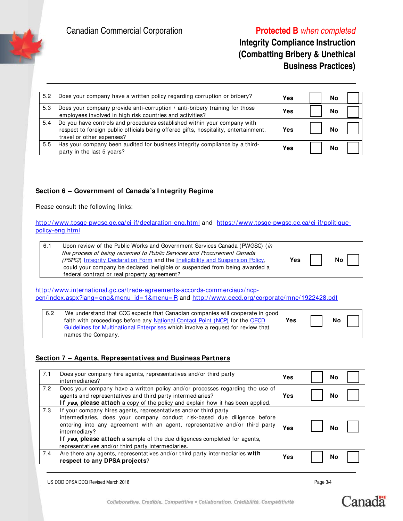Canadian Commercial Corporation **Protected B** when completed

## **Integrity Compliance Instruction (Combatting Bribery & Unethical Business Practices)**

| 5.2 | Does your company have a written policy regarding corruption or bribery?                                                                                                                      | Yes | N٥ |  |
|-----|-----------------------------------------------------------------------------------------------------------------------------------------------------------------------------------------------|-----|----|--|
| 5.3 | Does your company provide anti-corruption / anti-bribery training for those<br>employees involved in high risk countries and activities?                                                      | Yes | Νc |  |
| 5.4 | Do you have controls and procedures established within your company with<br>respect to foreign public officials being offered gifts, hospitality, entertainment,<br>travel or other expenses? | Yes |    |  |
| 5.5 | Has your company been audited for business integrity compliance by a third-<br>party in the last 5 years?                                                                                     | Yes | Νo |  |

### **Section 6 – Government of Canada's I ntegrity Regime**

Please consult the following links:

http://www.tpsgc-pwgsc.gc.ca/ci-if/declaration-eng.html and https://www.tpsgc-pwgsc.gc.ca/ci-if/politiquepolicy-eng.html

| 6.1 | Upon review of the Public Works and Government Services Canada (PWGSC) (in<br>the process of being renamed to Public Services and Procurement Canada<br>(PSPC)) Integrity Declaration Form and the Ineligibility and Suspension Policy,<br>could your company be declared ineligible or suspended from being awarded a<br>federal contract or real property agreement? | Yes |  | No |
|-----|------------------------------------------------------------------------------------------------------------------------------------------------------------------------------------------------------------------------------------------------------------------------------------------------------------------------------------------------------------------------|-----|--|----|
|-----|------------------------------------------------------------------------------------------------------------------------------------------------------------------------------------------------------------------------------------------------------------------------------------------------------------------------------------------------------------------------|-----|--|----|

http://www.international.gc.ca/trade-agreements-accords-commerciaux/ncppcn/index.aspx?lang= eng&menu\_id= 1&menu= R and http://www.oecd.org/ corporate/mne/1922428.pdf

| 6.2 | We understand that CCC expects that Canadian companies will cooperate in good<br>faith with proceedings before any National Contact Point (NCP) for the OECD | Yes | <b>No</b> |  |
|-----|--------------------------------------------------------------------------------------------------------------------------------------------------------------|-----|-----------|--|
|     | Guidelines for Multinational Enterprises which involve a request for review that                                                                             |     |           |  |
|     | names the Company.                                                                                                                                           |     |           |  |

### **Section 7 – Agents, Representatives and Business Partners**

| 7.1 | Does your company hire agents, representatives and/or third party<br>intermediaries?                                                                                                                                                                                                                                                                                               | Yes | No |  |
|-----|------------------------------------------------------------------------------------------------------------------------------------------------------------------------------------------------------------------------------------------------------------------------------------------------------------------------------------------------------------------------------------|-----|----|--|
| 7.2 | Does your company have a written policy and/or processes regarding the use of<br>agents and representatives and third party intermediaries?<br>If yes, please attach a copy of the policy and explain how it has been applied.                                                                                                                                                     | Yes | No |  |
| 7.3 | If your company hires agents, representatives and/or third party<br>intermediaries, does your company conduct risk-based due diligence before<br>entering into any agreement with an agent, representative and/or third party<br>intermediary?<br>If yes, please attach a sample of the due diligences completed for agents,<br>representatives and/or third party intermediaries. | Yes | N٥ |  |
| 7.4 | Are there any agents, representatives and/or third party intermediaries with<br>respect to any DPSA projects?                                                                                                                                                                                                                                                                      | Yes | No |  |

US DOD DPSA DDQ Revised March 2018 Page 3/4